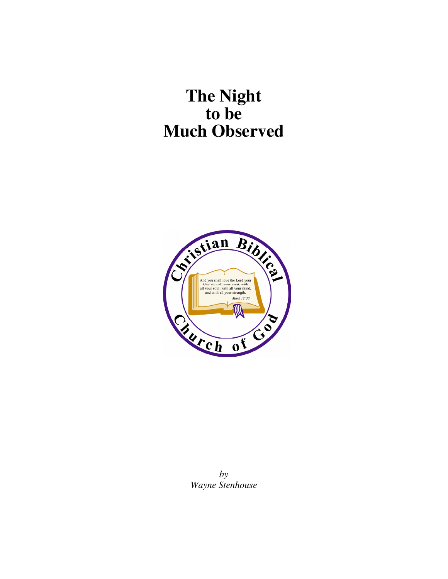# **The Night to be Much Observed**



*by Wayne Stenhouse*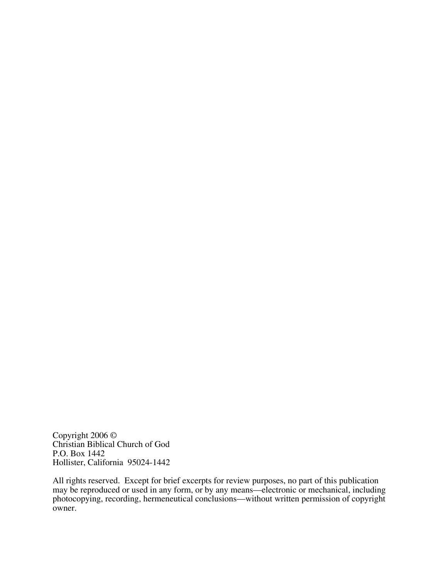Copyright 2006 © Christian Biblical Church of God P.O. Box 1442 Hollister, California 95024-1442

All rights reserved. Except for brief excerpts for review purposes, no part of this publication may be reproduced or used in any form, or by any means—electronic or mechanical, including photocopying, recording, hermeneutical conclusions—without written permission of copyright owner.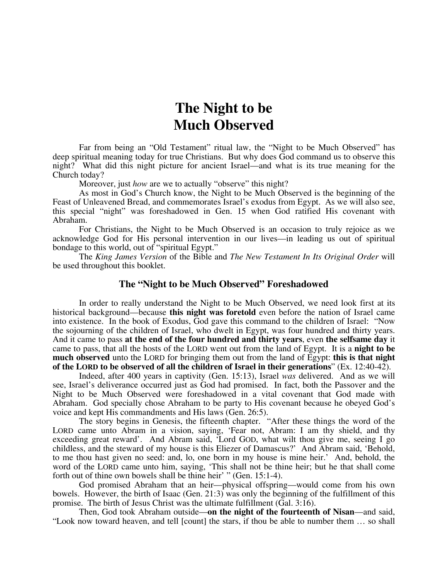# **The Night to be Much Observed**

Far from being an "Old Testament" ritual law, the "Night to be Much Observed" has deep spiritual meaning today for true Christians. But why does God command us to observe this night? What did this night picture for ancient Israel—and what is its true meaning for the Church today?

Moreover, just *how* are we to actually "observe" this night?

As most in God's Church know, the Night to be Much Observed is the beginning of the Feast of Unleavened Bread, and commemorates Israel's exodus from Egypt. As we will also see, this special "night" was foreshadowed in Gen. 15 when God ratified His covenant with Abraham.

 For Christians, the Night to be Much Observed is an occasion to truly rejoice as we acknowledge God for His personal intervention in our lives—in leading us out of spiritual bondage to this world, out of "spiritual Egypt."

 The *King James Version* of the Bible and *The New Testament In Its Original Order* will be used throughout this booklet.

#### **The "Night to be Much Observed" Foreshadowed**

 In order to really understand the Night to be Much Observed, we need look first at its historical background—because **this night was foretold** even before the nation of Israel came into existence. In the book of Exodus, God gave this command to the children of Israel: "Now the sojourning of the children of Israel, who dwelt in Egypt, was four hundred and thirty years. And it came to pass **at the end of the four hundred and thirty years**, even **the selfsame day** it came to pass, that all the hosts of the LORD went out from the land of Egypt. It is a **night to be much observed** unto the LORD for bringing them out from the land of Egypt: **this is that night of the LORD to be observed of all the children of Israel in their generations**" (Ex. 12:40-42).

 Indeed, after 400 years in captivity (Gen. 15:13), Israel *was* delivered. And as we will see, Israel's deliverance occurred just as God had promised. In fact, both the Passover and the Night to be Much Observed were foreshadowed in a vital covenant that God made with Abraham. God specially chose Abraham to be party to His covenant because he obeyed God's voice and kept His commandments and His laws (Gen. 26:5).

 The story begins in Genesis, the fifteenth chapter. "After these things the word of the LORD came unto Abram in a vision, saying, 'Fear not, Abram: I am thy shield, and thy exceeding great reward'. And Abram said, 'Lord GOD, what wilt thou give me, seeing I go childless, and the steward of my house is this Eliezer of Damascus?' And Abram said, 'Behold, to me thou hast given no seed: and, lo, one born in my house is mine heir.' And, behold, the word of the LORD came unto him, saying, 'This shall not be thine heir; but he that shall come forth out of thine own bowels shall be thine heir' " (Gen. 15:1-4).

God promised Abraham that an heir—physical offspring—would come from his own bowels. However, the birth of Isaac (Gen. 21:3) was only the beginning of the fulfillment of this promise. The birth of Jesus Christ was the ultimate fulfillment (Gal. 3:16).

Then, God took Abraham outside—**on the night of the fourteenth of Nisan**—and said, "Look now toward heaven, and tell [count] the stars, if thou be able to number them … so shall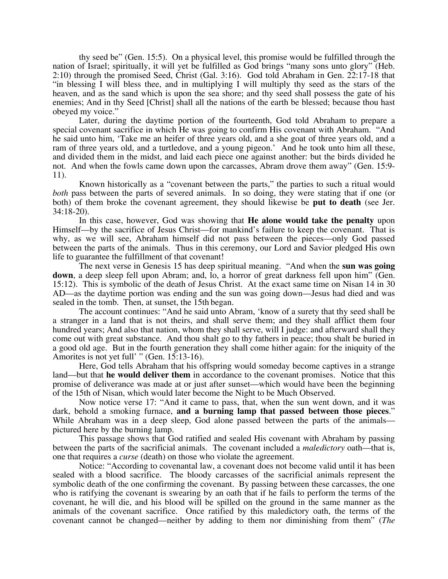thy seed be" (Gen. 15:5). On a physical level, this promise would be fulfilled through the nation of Israel; spiritually, it will yet be fulfilled as God brings "many sons unto glory" (Heb. 2:10) through the promised Seed, Christ (Gal. 3:16). God told Abraham in Gen. 22:17-18 that "in blessing I will bless thee, and in multiplying I will multiply thy seed as the stars of the heaven, and as the sand which is upon the sea shore; and thy seed shall possess the gate of his enemies; And in thy Seed [Christ] shall all the nations of the earth be blessed; because thou hast obeyed my voice."

Later, during the daytime portion of the fourteenth, God told Abraham to prepare a special covenant sacrifice in which He was going to confirm His covenant with Abraham. "And he said unto him, 'Take me an heifer of three years old, and a she goat of three years old, and a ram of three years old, and a turtledove, and a young pigeon.' And he took unto him all these, and divided them in the midst, and laid each piece one against another: but the birds divided he not. And when the fowls came down upon the carcasses, Abram drove them away" (Gen. 15:9- 11).

 Known historically as a "covenant between the parts," the parties to such a ritual would *both* pass between the parts of severed animals. In so doing, they were stating that if one (or both) of them broke the covenant agreement, they should likewise be **put to death** (see Jer. 34:18-20).

In this case, however, God was showing that **He alone would take the penalty** upon Himself—by the sacrifice of Jesus Christ—for mankind's failure to keep the covenant. That is why, as we will see, Abraham himself did not pass between the pieces—only God passed between the parts of the animals. Thus in this ceremony, our Lord and Savior pledged His own life to guarantee the fulfillment of that covenant!

The next verse in Genesis 15 has deep spiritual meaning. "And when the **sun was going down**, a deep sleep fell upon Abram; and, lo, a horror of great darkness fell upon him" (Gen. 15:12). This is symbolic of the death of Jesus Christ. At the exact same time on Nisan 14 in 30 AD—as the daytime portion was ending and the sun was going down—Jesus had died and was sealed in the tomb. Then, at sunset, the 15th began.

 The account continues: "And he said unto Abram, 'know of a surety that thy seed shall be a stranger in a land that is not theirs, and shall serve them; and they shall afflict them four hundred years; And also that nation, whom they shall serve, will I judge: and afterward shall they come out with great substance. And thou shalt go to thy fathers in peace; thou shalt be buried in a good old age. But in the fourth generation they shall come hither again: for the iniquity of the Amorites is not yet full' " (Gen. 15:13-16).

 Here, God tells Abraham that his offspring would someday become captives in a strange land—but that **he would deliver them** in accordance to the covenant promises. Notice that this promise of deliverance was made at or just after sunset—which would have been the beginning of the 15th of Nisan, which would later become the Night to be Much Observed.

Now notice verse 17: "And it came to pass, that, when the sun went down, and it was dark, behold a smoking furnace, **and a burning lamp that passed between those pieces**." While Abraham was in a deep sleep, God alone passed between the parts of the animals pictured here by the burning lamp.

 This passage shows that God ratified and sealed His covenant with Abraham by passing between the parts of the sacrificial animals. The covenant included a *maledictory* oath—that is, one that requires a *curse* (death) on those who violate the agreement.

 Notice: "According to covenantal law, a covenant does not become valid until it has been sealed with a blood sacrifice. The bloody carcasses of the sacrificial animals represent the symbolic death of the one confirming the covenant. By passing between these carcasses, the one who is ratifying the covenant is swearing by an oath that if he fails to perform the terms of the covenant, he will die, and his blood will be spilled on the ground in the same manner as the animals of the covenant sacrifice. Once ratified by this maledictory oath, the terms of the covenant cannot be changed—neither by adding to them nor diminishing from them" (*The*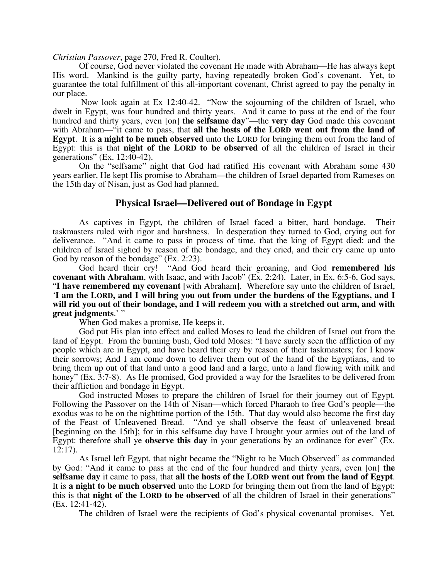*Christian Passover*, page 270, Fred R. Coulter).

Of course, God never violated the covenant He made with Abraham—He has always kept His word. Mankind is the guilty party, having repeatedly broken God's covenant. Yet, to guarantee the total fulfillment of this all-important covenant, Christ agreed to pay the penalty in our place.

 Now look again at Ex 12:40-42. "Now the sojourning of the children of Israel, who dwelt in Egypt, was four hundred and thirty years. And it came to pass at the end of the four hundred and thirty years, even [on] **the selfsame day**"—the **very day** God made this covenant with Abraham—"it came to pass, that **all the hosts of the LORD went out from the land of Egypt**. It is **a night to be much observed** unto the LORD for bringing them out from the land of Egypt: this is that **night of the LORD to be observed** of all the children of Israel in their generations" (Ex. 12:40-42).

On the "selfsame" night that God had ratified His covenant with Abraham some 430 years earlier, He kept His promise to Abraham—the children of Israel departed from Rameses on the 15th day of Nisan, just as God had planned.

#### **Physical Israel—Delivered out of Bondage in Egypt**

 As captives in Egypt, the children of Israel faced a bitter, hard bondage. Their taskmasters ruled with rigor and harshness. In desperation they turned to God, crying out for deliverance. "And it came to pass in process of time, that the king of Egypt died: and the children of Israel sighed by reason of the bondage, and they cried, and their cry came up unto

God by reason of the bondage" (Ex. 2:23).<br>God heard their cry! "And Goo "And God heard their groaning, and God **remembered his covenant with Abraham**, with Isaac, and with Jacob" (Ex. 2:24). Later, in Ex. 6:5-6, God says, "**I have remembered my covenant** [with Abraham]. Wherefore say unto the children of Israel, '**I am the LORD, and I will bring you out from under the burdens of the Egyptians, and I will rid you out of their bondage, and I will redeem you with a stretched out arm, and with great judgments**.' "

When God makes a promise, He keeps it.

God put His plan into effect and called Moses to lead the children of Israel out from the land of Egypt. From the burning bush, God told Moses: "I have surely seen the affliction of my people which are in Egypt, and have heard their cry by reason of their taskmasters; for I know their sorrows; And I am come down to deliver them out of the hand of the Egyptians, and to bring them up out of that land unto a good land and a large, unto a land flowing with milk and honey" (Ex. 3:7-8). As He promised, God provided a way for the Israelites to be delivered from their affliction and bondage in Egypt.

 God instructed Moses to prepare the children of Israel for their journey out of Egypt. Following the Passover on the 14th of Nisan—which forced Pharaoh to free God's people—the exodus was to be on the nighttime portion of the 15th. That day would also become the first day of the Feast of Unleavened Bread. "And ye shall observe the feast of unleavened bread [beginning on the 15th]; for in this selfsame day have I brought your armies out of the land of Egypt: therefore shall ye **observe this day** in your generations by an ordinance for ever" (Ex. 12:17).

As Israel left Egypt, that night became the "Night to be Much Observed" as commanded by God: "And it came to pass at the end of the four hundred and thirty years, even [on] **the selfsame day** it came to pass, that **all the hosts of the LORD went out from the land of Egypt**. It is **a night to be much observed** unto the LORD for bringing them out from the land of Egypt: this is that **night of the LORD to be observed** of all the children of Israel in their generations" (Ex. 12:41-42).

The children of Israel were the recipients of God's physical covenantal promises. Yet,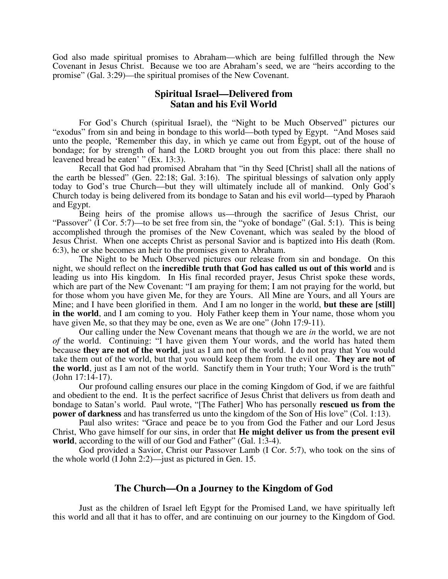God also made spiritual promises to Abraham—which are being fulfilled through the New Covenant in Jesus Christ. Because we too are Abraham's seed, we are "heirs according to the promise" (Gal. 3:29)—the spiritual promises of the New Covenant.

## **Spiritual Israel—Delivered from Satan and his Evil World**

For God's Church (spiritual Israel), the "Night to be Much Observed" pictures our "exodus" from sin and being in bondage to this world—both typed by Egypt. "And Moses said unto the people, 'Remember this day, in which ye came out from Egypt, out of the house of bondage; for by strength of hand the LORD brought you out from this place: there shall no leavened bread be eaten' " (Ex. 13:3).

Recall that God had promised Abraham that "in thy Seed [Christ] shall all the nations of the earth be blessed" (Gen. 22:18; Gal. 3:16). The spiritual blessings of salvation only apply today to God's true Church—but they will ultimately include all of mankind. Only God's Church today is being delivered from its bondage to Satan and his evil world—typed by Pharaoh and Egypt.

 Being heirs of the promise allows us—through the sacrifice of Jesus Christ, our "Passover" (I Cor. 5:7)—to be set free from sin, the "yoke of bondage" (Gal. 5:1). This is being accomplished through the promises of the New Covenant, which was sealed by the blood of Jesus Christ. When one accepts Christ as personal Savior and is baptized into His death (Rom. 6:3), he or she becomes an heir to the promises given to Abraham.

 The Night to be Much Observed pictures our release from sin and bondage. On this night, we should reflect on the **incredible truth that God has called us out of this world** and is leading us into His kingdom. In His final recorded prayer, Jesus Christ spoke these words, which are part of the New Covenant: "I am praying for them; I am not praying for the world, but for those whom you have given Me, for they are Yours. All Mine are Yours, and all Yours are Mine; and I have been glorified in them. And I am no longer in the world, **but these are [still] in the world**, and I am coming to you. Holy Father keep them in Your name, those whom you have given Me, so that they may be one, even as We are one" (John 17:9-11).

Our calling under the New Covenant means that though we are *in* the world, we are not *of* the world. Continuing: "I have given them Your words, and the world has hated them because **they are not of the world**, just as I am not of the world. I do not pray that You would take them out of the world, but that you would keep them from the evil one. **They are not of the world**, just as I am not of the world. Sanctify them in Your truth; Your Word is the truth" (John 17:14-17).

 Our profound calling ensures our place in the coming Kingdom of God, if we are faithful and obedient to the end. It is the perfect sacrifice of Jesus Christ that delivers us from death and bondage to Satan's world. Paul wrote, "[The Father] Who has personally **rescued us from the power of darkness** and has transferred us unto the kingdom of the Son of His love" (Col. 1:13).

 Paul also writes: "Grace and peace be to you from God the Father and our Lord Jesus Christ, Who gave himself for our sins, in order that **He might deliver us from the present evil world**, according to the will of our God and Father" (Gal. 1:3-4).

God provided a Savior, Christ our Passover Lamb (I Cor. 5:7), who took on the sins of the whole world (I John 2:2)—just as pictured in Gen. 15.

# **The Church—On a Journey to the Kingdom of God**

 Just as the children of Israel left Egypt for the Promised Land, we have spiritually left this world and all that it has to offer, and are continuing on our journey to the Kingdom of God.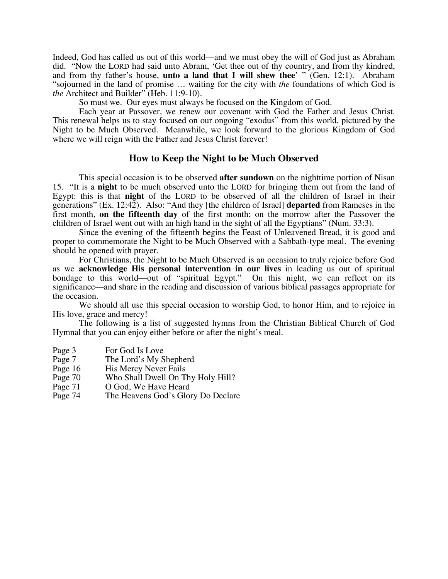Indeed, God has called us out of this world—and we must obey the will of God just as Abraham did. "Now the LORD had said unto Abram, 'Get thee out of thy country, and from thy kindred, and from thy father's house, **unto a land that I will shew thee**' " (Gen. 12:1). Abraham "sojourned in the land of promise … waiting for the city with *the* foundations of which God is *the* Architect and Builder" (Heb. 11:9-10).

So must we. Our eyes must always be focused on the Kingdom of God.

 Each year at Passover, we renew our covenant with God the Father and Jesus Christ. This renewal helps us to stay focused on our ongoing "exodus" from this world, pictured by the Night to be Much Observed. Meanwhile, we look forward to the glorious Kingdom of God where we will reign with the Father and Jesus Christ forever!

### **How to Keep the Night to be Much Observed**

 This special occasion is to be observed **after sundown** on the nighttime portion of Nisan 15. "It is a **night** to be much observed unto the LORD for bringing them out from the land of Egypt: this is that **night** of the LORD to be observed of all the children of Israel in their generations" (Ex. 12:42). Also: "And they [the children of Israel] **departed** from Rameses in the first month, **on the fifteenth day** of the first month; on the morrow after the Passover the children of Israel went out with an high hand in the sight of all the Egyptians" (Num. 33:3).

Since the evening of the fifteenth begins the Feast of Unleavened Bread, it is good and proper to commemorate the Night to be Much Observed with a Sabbath-type meal. The evening should be opened with prayer.

For Christians, the Night to be Much Observed is an occasion to truly rejoice before God as we **acknowledge His personal intervention in our lives** in leading us out of spiritual bondage to this world—out of "spiritual Egypt." On this night, we can reflect on its significance—and share in the reading and discussion of various biblical passages appropriate for the occasion.

We should all use this special occasion to worship God, to honor Him, and to rejoice in His love, grace and mercy!

The following is a list of suggested hymns from the Christian Biblical Church of God Hymnal that you can enjoy either before or after the night's meal.

- Page 3 For God Is Love
- Page 7 The Lord's My Shepherd
- Page 16 His Mercy Never Fails
- Page 70 Who Shall Dwell On Thy Holy Hill?
- Page 71 O God, We Have Heard
- Page 74 The Heavens God's Glory Do Declare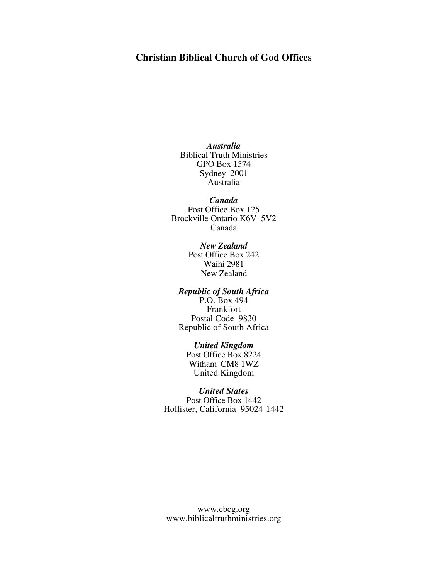# **Christian Biblical Church of God Offices**

*Australia*  Biblical Truth Ministries GPO Box 1574 Sydney 2001 Australia

*Canada*  Post Office Box 125 Brockville Ontario K6V 5V2 Canada

> *New Zealand*  Post Office Box 242 Waihi 2981 New Zealand

### *Republic of South Africa*

P.O. Box 494 Frankfort Postal Code 9830 Republic of South Africa

#### *United Kingdom*

Post Office Box 8224 Witham CM8 1WZ United Kingdom

#### *United States*

Post Office Box 1442 Hollister, California 95024-1442

www.cbcg.org www.biblicaltruthministries.org